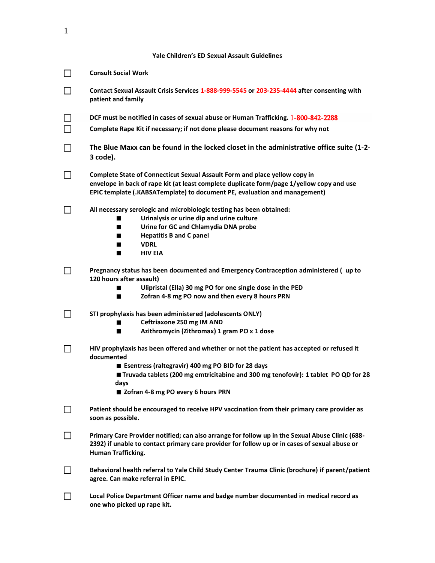| Yale Children's ED Sexual Assault Guidelines |  |  |
|----------------------------------------------|--|--|
|----------------------------------------------|--|--|

|              | <b>Consult Social Work</b>                                                                                                                                                                                                                                                                              |  |  |  |  |
|--------------|---------------------------------------------------------------------------------------------------------------------------------------------------------------------------------------------------------------------------------------------------------------------------------------------------------|--|--|--|--|
|              | Contact Sexual Assault Crisis Services 1-888-999-5545 or 203-235-4444 after consenting with<br>patient and family                                                                                                                                                                                       |  |  |  |  |
|              | DCF must be notified in cases of sexual abuse or Human Trafficking. 1-800-842-2288                                                                                                                                                                                                                      |  |  |  |  |
|              | Complete Rape Kit if necessary; if not done please document reasons for why not                                                                                                                                                                                                                         |  |  |  |  |
| $\mathsf{L}$ | The Blue Maxx can be found in the locked closet in the administrative office suite (1-2-<br>3 code).                                                                                                                                                                                                    |  |  |  |  |
|              | Complete State of Connecticut Sexual Assault Form and place yellow copy in<br>envelope in back of rape kit (at least complete duplicate form/page 1/yellow copy and use<br>EPIC template (.KABSATemplate) to document PE, evaluation and management)                                                    |  |  |  |  |
|              | All necessary serologic and microbiologic testing has been obtained:<br>Urinalysis or urine dip and urine culture<br>П<br>Urine for GC and Chlamydia DNA probe<br>$\blacksquare$<br><b>Hepatitis B and C panel</b><br>$\blacksquare$<br><b>VDRL</b><br>H.<br><b>HIV EIA</b><br>п                        |  |  |  |  |
|              | Pregnancy status has been documented and Emergency Contraception administered (up to<br>120 hours after assault)<br>Ulipristal (Ella) 30 mg PO for one single dose in the PED<br>Zofran 4-8 mg PO now and then every 8 hours PRN<br>m                                                                   |  |  |  |  |
|              | STI prophylaxis has been administered (adolescents ONLY)<br>Ceftriaxone 250 mg IM AND<br>H.<br>Azithromycin (Zithromax) 1 gram PO x 1 dose<br>ш                                                                                                                                                         |  |  |  |  |
|              | HIV prophylaxis has been offered and whether or not the patient has accepted or refused it<br>documented<br>■ Esentress (raltegravir) 400 mg PO BID for 28 days<br>■ Truvada tablets (200 mg emtricitabine and 300 mg tenofovir): 1 tablet PO QD for 28<br>davs<br>■ Zofran 4-8 mg PO every 6 hours PRN |  |  |  |  |
|              | Patient should be encouraged to receive HPV vaccination from their primary care provider as<br>soon as possible.                                                                                                                                                                                        |  |  |  |  |
|              | Primary Care Provider notified; can also arrange for follow up in the Sexual Abuse Clinic (688-<br>2392) if unable to contact primary care provider for follow up or in cases of sexual abuse or<br><b>Human Trafficking.</b>                                                                           |  |  |  |  |
|              | Behavioral health referral to Yale Child Study Center Trauma Clinic (brochure) if parent/patient<br>agree. Can make referral in EPIC.                                                                                                                                                                   |  |  |  |  |
|              | Local Police Department Officer name and badge number documented in medical record as<br>one who picked up rape kit.                                                                                                                                                                                    |  |  |  |  |

1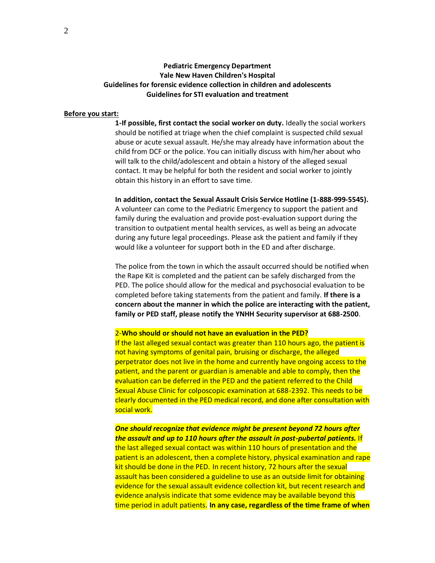# **Pediatric Emergency Department Yale New Haven Children's Hospital Guidelines for forensic evidence collection in children and adolescents Guidelines for STI evaluation and treatment**

#### **Before you start:**

**1-If possible, first contact the social worker on duty.** Ideally the social workers should be notified at triage when the chief complaint is suspected child sexual abuse or acute sexual assault. He/she may already have information about the child from DCF or the police. You can initially discuss with him/her about who will talk to the child/adolescent and obtain a history of the alleged sexual contact. It may be helpful for both the resident and social worker to jointly obtain this history in an effort to save time.

**In addition, contact the Sexual Assault Crisis Service Hotline (1-888-999-5545).** A volunteer can come to the Pediatric Emergency to support the patient and family during the evaluation and provide post-evaluation support during the transition to outpatient mental health services, as well as being an advocate during any future legal proceedings. Please ask the patient and family if they would like a volunteer for support both in the ED and after discharge.

The police from the town in which the assault occurred should be notified when the Rape Kit is completed and the patient can be safely discharged from the PED. The police should allow for the medical and psychosocial evaluation to be completed before taking statements from the patient and family. **If there is a concern about the manner in which the police are interacting with the patient, family or PED staff, please notify the YNHH Security supervisor at 688-2500**.

2-**Who should or should not have an evaluation in the PED?**

If the last alleged sexual contact was greater than 110 hours ago, the patient is not having symptoms of genital pain, bruising or discharge, the alleged perpetrator does not live in the home and currently have ongoing access to the patient, and the parent or guardian is amenable and able to comply, then the evaluation can be deferred in the PED and the patient referred to the Child Sexual Abuse Clinic for colposcopic examination at 688-2392. This needs to be clearly documented in the PED medical record, and done after consultation with social work.

*One should recognize that evidence might be present beyond 72 hours after the assault and up to 110 hours after the assault in post-pubertal patients.* If the last alleged sexual contact was within 110 hours of presentation and the patient is an adolescent, then a complete history, physical examination and rape kit should be done in the PED. In recent history, 72 hours after the sexual assault has been considered a guideline to use as an outside limit for obtaining evidence for the sexual assault evidence collection kit, but recent research and evidence analysis indicate that some evidence may be available beyond this time period in adult patients. **In any case, regardless of the time frame of when**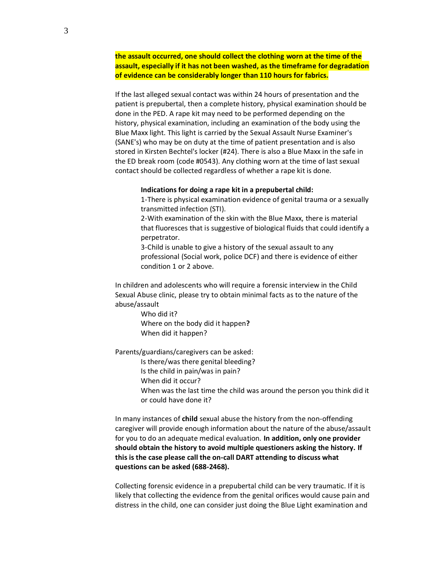**the assault occurred, one should collect the clothing worn at the time of the assault, especially if it has not been washed, as the timeframe for degradation of evidence can be considerably longer than 110 hours for fabrics.**

If the last alleged sexual contact was within 24 hours of presentation and the patient is prepubertal, then a complete history, physical examination should be done in the PED. A rape kit may need to be performed depending on the history, physical examination, including an examination of the body using the Blue Maxx light. This light is carried by the Sexual Assault Nurse Examiner's (SANE's) who may be on duty at the time of patient presentation and is also stored in Kirsten Bechtel's locker (#24). There is also a Blue Maxx in the safe in the ED break room (code #0543). Any clothing worn at the time of last sexual contact should be collected regardless of whether a rape kit is done.

#### **Indications for doing a rape kit in a prepubertal child:**

1-There is physical examination evidence of genital trauma or a sexually transmitted infection (STI).

2-With examination of the skin with the Blue Maxx, there is material that fluoresces that is suggestive of biological fluids that could identify a perpetrator.

3-Child is unable to give a history of the sexual assault to any professional (Social work, police DCF) and there is evidence of either condition 1 or 2 above.

In children and adolescents who will require a forensic interview in the Child Sexual Abuse clinic, please try to obtain minimal facts as to the nature of the abuse/assault

> Who did it? Where on the body did it happen**?**  When did it happen?

Parents/guardians/caregivers can be asked:

Is there/was there genital bleeding?

Is the child in pain/was in pain?

When did it occur?

When was the last time the child was around the person you think did it or could have done it?

In many instances of **child** sexual abuse the history from the non-offending caregiver will provide enough information about the nature of the abuse/assault for you to do an adequate medical evaluation. **In addition, only one provider should obtain the history to avoid multiple questioners asking the history. If this is the case please call the on-call DART attending to discuss what questions can be asked (688-2468).**

Collecting forensic evidence in a prepubertal child can be very traumatic. If it is likely that collecting the evidence from the genital orifices would cause pain and distress in the child, one can consider just doing the Blue Light examination and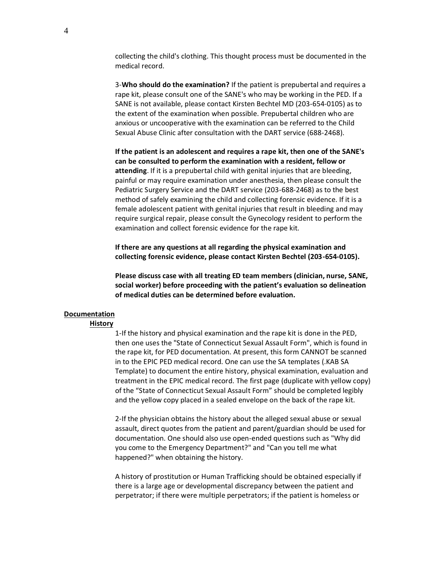collecting the child's clothing. This thought process must be documented in the medical record.

3-**Who should do the examination?** If the patient is prepubertal and requires a rape kit, please consult one of the SANE's who may be working in the PED. If a SANE is not available, please contact Kirsten Bechtel MD (203-654-0105) as to the extent of the examination when possible. Prepubertal children who are anxious or uncooperative with the examination can be referred to the Child Sexual Abuse Clinic after consultation with the DART service (688-2468).

**If the patient is an adolescent and requires a rape kit, then one of the SANE's can be consulted to perform the examination with a resident, fellow or attending**. If it is a prepubertal child with genital injuries that are bleeding, painful or may require examination under anesthesia, then please consult the Pediatric Surgery Service and the DART service (203-688-2468) as to the best method of safely examining the child and collecting forensic evidence. If it is a female adolescent patient with genital injuries that result in bleeding and may require surgical repair, please consult the Gynecology resident to perform the examination and collect forensic evidence for the rape kit.

**If there are any questions at all regarding the physical examination and collecting forensic evidence, please contact Kirsten Bechtel (203-654-0105).**

**Please discuss case with all treating ED team members (clinician, nurse, SANE, social worker) before proceeding with the patient's evaluation so delineation of medical duties can be determined before evaluation.**

#### **Documentation**

## **History**

1-If the history and physical examination and the rape kit is done in the PED, then one uses the "State of Connecticut Sexual Assault Form", which is found in the rape kit, for PED documentation. At present, this form CANNOT be scanned in to the EPIC PED medical record. One can use the SA templates (.KAB SA Template) to document the entire history, physical examination, evaluation and treatment in the EPIC medical record. The first page (duplicate with yellow copy) of the "State of Connecticut Sexual Assault Form" should be completed legibly and the yellow copy placed in a sealed envelope on the back of the rape kit.

2-If the physician obtains the history about the alleged sexual abuse or sexual assault, direct quotes from the patient and parent/guardian should be used for documentation. One should also use open-ended questions such as "Why did you come to the Emergency Department?" and "Can you tell me what happened?" when obtaining the history.

A history of prostitution or Human Trafficking should be obtained especially if there is a large age or developmental discrepancy between the patient and perpetrator; if there were multiple perpetrators; if the patient is homeless or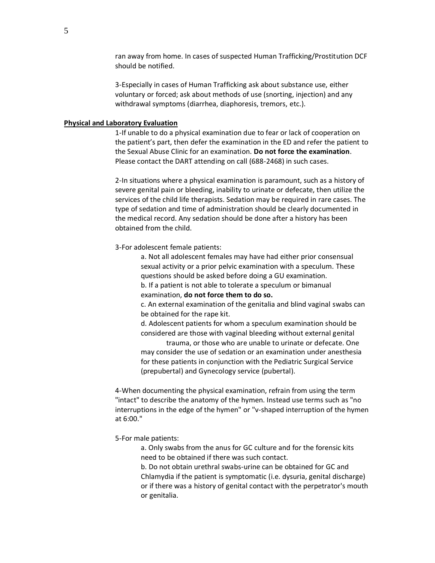ran away from home. In cases of suspected Human Trafficking/Prostitution DCF should be notified.

3-Especially in cases of Human Trafficking ask about substance use, either voluntary or forced; ask about methods of use (snorting, injection) and any withdrawal symptoms (diarrhea, diaphoresis, tremors, etc.).

#### **Physical and Laboratory Evaluation**

1-If unable to do a physical examination due to fear or lack of cooperation on the patient's part, then defer the examination in the ED and refer the patient to the Sexual Abuse Clinic for an examination. **Do not force the examination**. Please contact the DART attending on call (688-2468) in such cases.

2-In situations where a physical examination is paramount, such as a history of severe genital pain or bleeding, inability to urinate or defecate, then utilize the services of the child life therapists. Sedation may be required in rare cases. The type of sedation and time of administration should be clearly documented in the medical record. Any sedation should be done after a history has been obtained from the child.

3-For adolescent female patients:

a. Not all adolescent females may have had either prior consensual sexual activity or a prior pelvic examination with a speculum. These questions should be asked before doing a GU examination.

b. If a patient is not able to tolerate a speculum or bimanual examination, **do not force them to do so.**

c. An external examination of the genitalia and blind vaginal swabs can be obtained for the rape kit.

d. Adolescent patients for whom a speculum examination should be considered are those with vaginal bleeding without external genital

trauma, or those who are unable to urinate or defecate. One may consider the use of sedation or an examination under anesthesia for these patients in conjunction with the Pediatric Surgical Service (prepubertal) and Gynecology service (pubertal).

4-When documenting the physical examination, refrain from using the term "intact" to describe the anatomy of the hymen. Instead use terms such as "no interruptions in the edge of the hymen" or "v-shaped interruption of the hymen at 6:00."

5-For male patients:

a. Only swabs from the anus for GC culture and for the forensic kits need to be obtained if there was such contact.

b. Do not obtain urethral swabs-urine can be obtained for GC and Chlamydia if the patient is symptomatic (i.e. dysuria, genital discharge) or if there was a history of genital contact with the perpetrator's mouth or genitalia.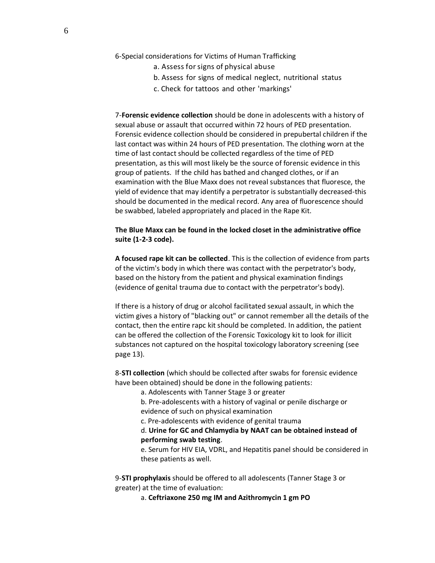- 6-Special considerations for Victims of Human Trafficking
	- a. Assess forsigns of physical abuse
	- b. Assess for signs of medical neglect, nutritional status
	- c. Check for tattoos and other 'markings'

7-**Forensic evidence collection** should be done in adolescents with a history of sexual abuse or assault that occurred within 72 hours of PED presentation. Forensic evidence collection should be considered in prepubertal children if the last contact was within 24 hours of PED presentation. The clothing worn at the time of last contact should be collected regardless of the time of PED presentation, as this will most likely be the source of forensic evidence in this group of patients. If the child has bathed and changed clothes, or if an examination with the Blue Maxx does not reveal substances that fluoresce, the yield of evidence that may identify a perpetrator is substantially decreased-this should be documented in the medical record. Any area of fluorescence should be swabbed, labeled appropriately and placed in the Rape Kit.

## **The Blue Maxx can be found in the locked closet in the administrative office suite (1-2-3 code).**

**A focused rape kit can be collected**. This is the collection of evidence from parts of the victim's body in which there was contact with the perpetrator's body, based on the history from the patient and physical examination findings (evidence of genital trauma due to contact with the perpetrator's body).

If there is a history of drug or alcohol facilitated sexual assault, in which the victim gives a history of "blacking out" or cannot remember all the details of the contact, then the entire rapc kit should be completed. In addition, the patient can be offered the collection of the Forensic Toxicology kit to look for illicit substances not captured on the hospital toxicology laboratory screening (see page 13).

8-**STI collection** (which should be collected after swabs for forensic evidence have been obtained) should be done in the following patients:

- a. Adolescents with Tanner Stage 3 or greater
- b. Pre-adolescents with a history of vaginal or penile discharge or evidence of such on physical examination
- c. Pre-adolescents with evidence of genital trauma

d. **Urine for GC and Chlamydia by NAAT can be obtained instead of performing swab testing**.

e. Serum for HIV EIA, VDRL, and Hepatitis panel should be considered in these patients as well.

9-**STI prophylaxis** should be offered to all adolescents (Tanner Stage 3 or greater) at the time of evaluation:

a. **Ceftriaxone 250 mg IM and Azithromycin 1 gm PO**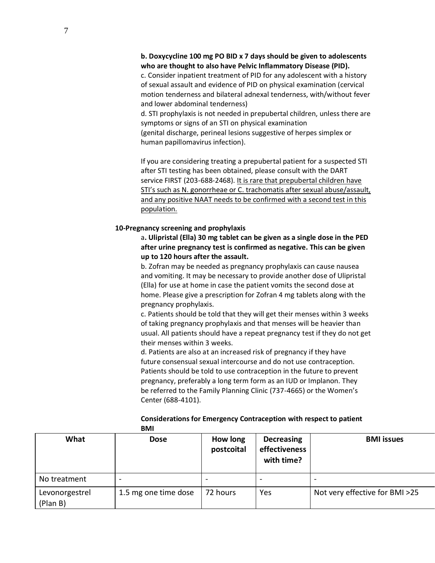## **b. Doxycycline 100 mg PO BID x 7 days should be given to adolescents who are thought to also have Pelvic Inflammatory Disease (PID).**

c. Consider inpatient treatment of PID for any adolescent with a history of sexual assault and evidence of PID on physical examination (cervical motion tenderness and bilateral adnexal tenderness, with/without fever and lower abdominal tenderness)

d. STI prophylaxis is not needed in prepubertal children, unless there are symptoms or signs of an STI on physical examination (genital discharge, perineal lesions suggestive of herpes simplex or human papillomavirus infection).

If you are considering treating a prepubertal patient for a suspected STI after STI testing has been obtained, please consult with the DART service FIRST (203-688-2468). It is rare that prepubertal children have STI's such as N. gonorrheae or C. trachomatis after sexual abuse/assault, and any positive NAAT needs to be confirmed with a second test in this population.

## **10-Pregnancy screening and prophylaxis**

a**. Ulipristal (Ella) 30 mg tablet can be given as a single dose in the PED after urine pregnancy test is confirmed as negative. This can be given up to 120 hours after the assault.**

b. Zofran may be needed as pregnancy prophylaxis can cause nausea and vomiting. It may be necessary to provide another dose of Ulipristal (Ella) for use at home in case the patient vomits the second dose at home. Please give a prescription for Zofran 4 mg tablets along with the pregnancy prophylaxis.

c. Patients should be told that they will get their menses within 3 weeks of taking pregnancy prophylaxis and that menses will be heavier than usual. All patients should have a repeat pregnancy test if they do not get their menses within 3 weeks.

d. Patients are also at an increased risk of pregnancy if they have future consensual sexual intercourse and do not use contraception. Patients should be told to use contraception in the future to prevent pregnancy, preferably a long term form as an IUD or Implanon. They be referred to the Family Planning Clinic (737-4665) or the Women's Center (688-4101).

|                            | -----                |                        |                                                  |                                |
|----------------------------|----------------------|------------------------|--------------------------------------------------|--------------------------------|
| What                       | <b>Dose</b>          | How long<br>postcoital | <b>Decreasing</b><br>effectiveness<br>with time? | <b>BMI</b> issues              |
| No treatment               | -                    |                        |                                                  |                                |
| Levonorgestrel<br>(Plan B) | 1.5 mg one time dose | 72 hours               | Yes                                              | Not very effective for BMI >25 |

## **Considerations for Emergency Contraception with respect to patient BMI**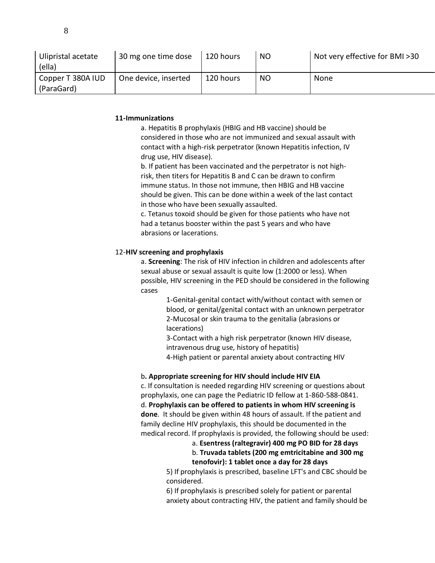| Ulipristal acetate<br>(ella) | 30 mg one time dose  | 120 hours | NO. | Not very effective for BMI >30 |
|------------------------------|----------------------|-----------|-----|--------------------------------|
| Copper T 380A IUD            | One device, inserted | 120 hours | NO  | <b>None</b>                    |
| (ParaGard)                   |                      |           |     |                                |

## **11-Immunizations**

a. Hepatitis B prophylaxis (HBIG and HB vaccine) should be considered in those who are not immunized and sexual assault with contact with a high-risk perpetrator (known Hepatitis infection, IV drug use, HIV disease).

b. If patient has been vaccinated and the perpetrator is not highrisk, then titers for Hepatitis B and C can be drawn to confirm immune status. In those not immune, then HBIG and HB vaccine should be given. This can be done within a week of the last contact in those who have been sexually assaulted.

c. Tetanus toxoid should be given for those patients who have not had a tetanus booster within the past 5 years and who have abrasions or lacerations.

## 12-**HIV screening and prophylaxis**

a. **Screening**: The risk of HIV infection in children and adolescents after sexual abuse or sexual assault is quite low (1:2000 or less). When possible, HIV screening in the PED should be considered in the following cases

> 1-Genital-genital contact with/without contact with semen or blood, or genital/genital contact with an unknown perpetrator 2-Mucosal or skin trauma to the genitalia (abrasions or lacerations)

3-Contact with a high risk perpetrator (known HIV disease, intravenous drug use, history of hepatitis)

4-High patient or parental anxiety about contracting HIV

#### b**. Appropriate screening for HIV should include HIV EIA**

c. If consultation is needed regarding HIV screening or questions about prophylaxis, one can page the Pediatric ID fellow at 1-860-588-0841. d. **Prophylaxis can be offered to patients in whom HIV screening is done**. It should be given within 48 hours of assault. If the patient and family decline HIV prophylaxis, this should be documented in the medical record. If prophylaxis is provided, the following should be used:

# a. **Esentress (raltegravir) 400 mg PO BID for 28 days**

# b. **Truvada tablets (200 mg emtricitabine and 300 mg tenofovir): 1 tablet once a day for 28 days**

5) If prophylaxis is prescribed, baseline LFT's and CBC should be considered.

6) If prophylaxis is prescribed solely for patient or parental anxiety about contracting HIV, the patient and family should be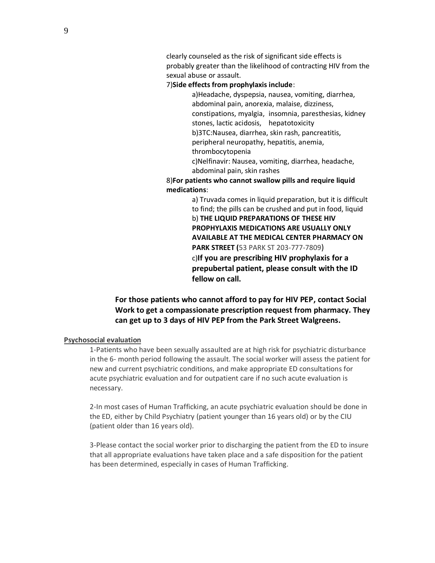clearly counseled as the risk of significant side effects is probably greater than the likelihood of contracting HIV from the sexual abuse or assault.

7)**Side effects from prophylaxis include**:

a)Headache, dyspepsia, nausea, vomiting, diarrhea, abdominal pain, anorexia, malaise, dizziness, constipations, myalgia, insomnia, paresthesias, kidney stones, lactic acidosis, hepatotoxicity b)3TC:Nausea, diarrhea, skin rash, pancreatitis, peripheral neuropathy, hepatitis, anemia, thrombocytopenia

c)Nelfinavir: Nausea, vomiting, diarrhea, headache, abdominal pain, skin rashes

8)**For patients who cannot swallow pills and require liquid medications**:

> a) Truvada comes in liquid preparation, but it is difficult to find; the pills can be crushed and put in food, liquid b) **THE LIQUID PREPARATIONS OF THESE HIV PROPHYLAXIS MEDICATIONS ARE USUALLY ONLY AVAILABLE AT THE MEDICAL CENTER PHARMACY ON PARK STREET (**53 PARK ST 203-777-7809) c)**If you are prescribing HIV prophylaxis for a prepubertal patient, please consult with the ID fellow on call.**

**For those patients who cannot afford to pay for HIV PEP, contact Social Work to get a compassionate prescription request from pharmacy. They can get up to 3 days of HIV PEP from the Park Street Walgreens.**

# **Psychosocial evaluation**

1-Patients who have been sexually assaulted are at high risk for psychiatric disturbance in the 6- month period following the assault. The social worker will assess the patient for new and current psychiatric conditions, and make appropriate ED consultations for acute psychiatric evaluation and for outpatient care if no such acute evaluation is necessary.

2-In most cases of Human Trafficking, an acute psychiatric evaluation should be done in the ED, either by Child Psychiatry (patient younger than 16 years old) or by the CIU (patient older than 16 years old).

3-Please contact the social worker prior to discharging the patient from the ED to insure that all appropriate evaluations have taken place and a safe disposition for the patient has been determined, especially in cases of Human Trafficking.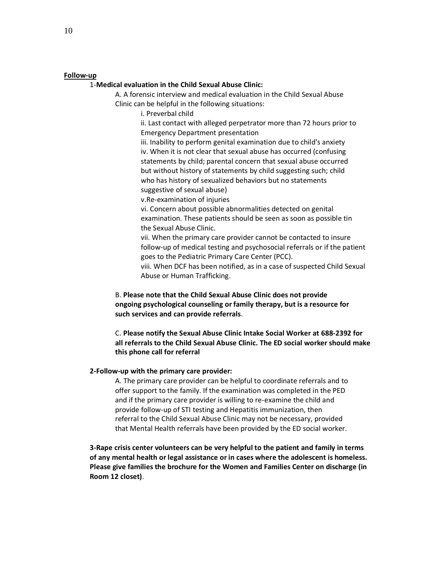#### **Follow-up**

## 1-**Medical evaluation in the Child Sexual Abuse Clinic:**

A. A forensic interview and medical evaluation in the Child Sexual Abuse Clinic can be helpful in the following situations:

i. Preverbal child

ii. Last contact with alleged perpetrator more than 72 hours prior to Emergency Department presentation

iii. Inability to perform genital examination due to child's anxiety iv. When it is not clear that sexual abuse has occurred (confusing statements by child; parental concern that sexual abuse occurred but without history of statements by child suggesting such; child who has history of sexualized behaviors but no statements suggestive of sexual abuse)

v.Re-examination of injuries

vi. Concern about possible abnormalities detected on genital examination. These patients should be seen as soon as possible tin the Sexual Abuse Clinic.

vii. When the primary care provider cannot be contacted to insure follow-up of medical testing and psychosocial referrals or if the patient goes to the Pediatric Primary Care Center (PCC).

viii. When DCF has been notified, as in a case of suspected Child Sexual Abuse or Human Trafficking.

B. **Please note that the Child Sexual Abuse Clinic does not provide ongoing psychological counseling or family therapy, but is a resource for such services and can provide referrals**.

C. **Please notify the Sexual Abuse Clinic Intake Social Worker at 688-2392 for all referrals to the Child Sexual Abuse Clinic. The ED social worker should make this phone call for referral**

#### **2-Follow-up with the primary care provider:**

A. The primary care provider can be helpful to coordinate referrals and to offer support to the family. If the examination was completed in the PED and if the primary care provider is willing to re-examine the child and provide follow-up of STI testing and Hepatitis immunization, then referral to the Child Sexual Abuse Clinic may not be necessary, provided that Mental Health referrals have been provided by the ED social worker.

**3-Rape crisis center volunteers can be very helpful to the patient and family in terms of any mental health or legal assistance or in cases where the adolescent is homeless. Please give families the brochure for the Women and Families Center on discharge (in Room 12 closet)**.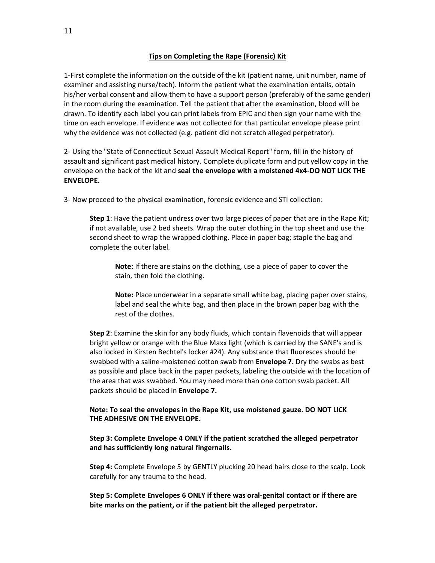## **Tips on Completing the Rape (Forensic) Kit**

1-First complete the information on the outside of the kit (patient name, unit number, name of examiner and assisting nurse/tech). Inform the patient what the examination entails, obtain his/her verbal consent and allow them to have a support person (preferably of the same gender) in the room during the examination. Tell the patient that after the examination, blood will be drawn. To identify each label you can print labels from EPIC and then sign your name with the time on each envelope. If evidence was not collected for that particular envelope please print why the evidence was not collected (e.g. patient did not scratch alleged perpetrator).

2- Using the "State of Connecticut Sexual Assault Medical Report" form, fill in the history of assault and significant past medical history. Complete duplicate form and put yellow copy in the envelope on the back of the kit and **seal the envelope with a moistened 4x4-DO NOT LICK THE ENVELOPE.**

3- Now proceed to the physical examination, forensic evidence and STI collection:

**Step 1**: Have the patient undress over two large pieces of paper that are in the Rape Kit; if not available, use 2 bed sheets. Wrap the outer clothing in the top sheet and use the second sheet to wrap the wrapped clothing. Place in paper bag; staple the bag and complete the outer label.

**Note**: If there are stains on the clothing, use a piece of paper to cover the stain, then fold the clothing.

**Note:** Place underwear in a separate small white bag, placing paper over stains, label and seal the white bag, and then place in the brown paper bag with the rest of the clothes.

**Step 2**: Examine the skin for any body fluids, which contain flavenoids that will appear bright yellow or orange with the Blue Maxx light (which is carried by the SANE's and is also locked in Kirsten Bechtel's locker #24). Any substance that fluoresces should be swabbed with a saline-moistened cotton swab from **Envelope 7.** Dry the swabs as best as possible and place back in the paper packets, labeling the outside with the location of the area that was swabbed. You may need more than one cotton swab packet. All packets should be placed in **Envelope 7.**

## **Note: To seal the envelopes in the Rape Kit, use moistened gauze. DO NOT LICK THE ADHESIVE ON THE ENVELOPE.**

**Step 3: Complete Envelope 4 ONLY if the patient scratched the alleged perpetrator and has sufficiently long natural fingernails.**

**Step 4:** Complete Envelope 5 by GENTLY plucking 20 head hairs close to the scalp. Look carefully for any trauma to the head.

**Step 5: Complete Envelopes 6 ONLY if there was oral-genital contact or if there are bite marks on the patient, or if the patient bit the alleged perpetrator.**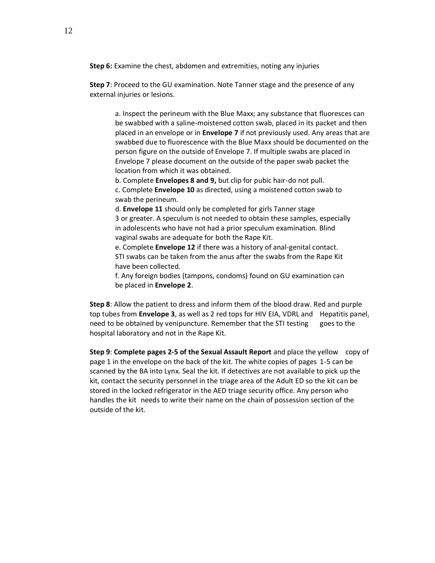**Step 6:** Examine the chest, abdomen and extremities, noting any injuries

**Step 7**: Proceed to the GU examination. Note Tanner stage and the presence of any external injuries or lesions.

a. Inspect the perineum with the Blue Maxx; any substance that fluoresces can be swabbed with a saline-moistened cotton swab, placed in its packet and then placed in an envelope or in **Envelope 7** if not previously used. Any areas that are swabbed due to fluorescence with the Blue Maxx should be documented on the person figure on the outside of Envelope 7. If multiple swabs are placed in Envelope 7 please document on the outside of the paper swab packet the location from which it was obtained.

b. Complete **Envelopes 8 and 9,** but clip for pubic hair-do not pull.

c. Complete **Envelope 10** as directed, using a moistened cotton swab to swab the perineum.

d. **Envelope 11** should only be completed for girls Tanner stage 3 or greater. A speculum is not needed to obtain these samples, especially in adolescents who have not had a prior speculum examination. Blind vaginal swabs are adequate for both the Rape Kit.

e. Complete **Envelope 12** if there was a history of anal-genital contact. STI swabs can be taken from the anus after the swabs from the Rape Kit have been collected.

f. Any foreign bodies (tampons, condoms) found on GU examination can be placed in **Envelope 2**.

**Step 8**: Allow the patient to dress and inform them of the blood draw. Red and purple top tubes from **Envelope 3**, as well as 2 red tops for HIV EIA, VDRL and Hepatitis panel, need to be obtained by venipuncture. Remember that the STI testing goes to the hospital laboratory and not in the Rape Kit.

**Step 9**: **Complete pages 2-5 of the Sexual Assault Report** and place the yellow copy of page 1 in the envelope on the back of the kit. The white copies of pages 1-5 can be scanned by the BA into Lynx. Seal the kit. If detectives are not available to pick up the kit, contact the security personnel in the triage area of the Adult ED so the kit can be stored in the locked refrigerator in the AED triage security office. Any person who handles the kit needs to write their name on the chain of possession section of the outside of the kit.